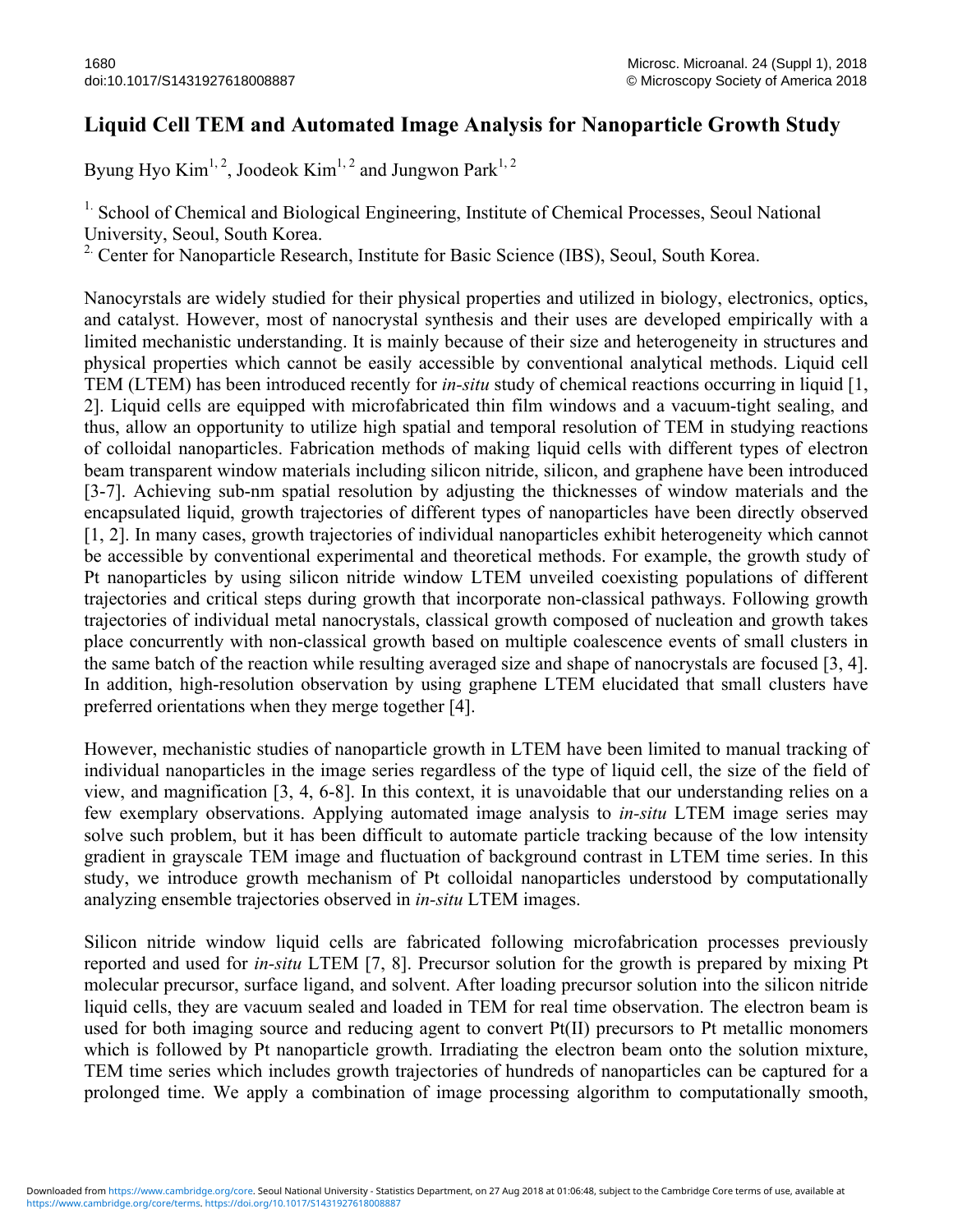## **Liquid Cell TEM and Automated Image Analysis for Nanoparticle Growth Study**

Byung Hyo Kim<sup>1, 2</sup>, Joodeok Kim<sup>1, 2</sup> and Jungwon Park<sup>1, 2</sup>

<sup>1.</sup> School of Chemical and Biological Engineering, Institute of Chemical Processes, Seoul National University, Seoul, South Korea.

<sup>2.</sup> Center for Nanoparticle Research, Institute for Basic Science (IBS), Seoul, South Korea.

Nanocyrstals are widely studied for their physical properties and utilized in biology, electronics, optics, and catalyst. However, most of nanocrystal synthesis and their uses are developed empirically with a limited mechanistic understanding. It is mainly because of their size and heterogeneity in structures and physical properties which cannot be easily accessible by conventional analytical methods. Liquid cell TEM (LTEM) has been introduced recently for *in-situ* study of chemical reactions occurring in liquid [1, 2]. Liquid cells are equipped with microfabricated thin film windows and a vacuum-tight sealing, and thus, allow an opportunity to utilize high spatial and temporal resolution of TEM in studying reactions of colloidal nanoparticles. Fabrication methods of making liquid cells with different types of electron beam transparent window materials including silicon nitride, silicon, and graphene have been introduced [3-7]. Achieving sub-nm spatial resolution by adjusting the thicknesses of window materials and the encapsulated liquid, growth trajectories of different types of nanoparticles have been directly observed [1, 2]. In many cases, growth trajectories of individual nanoparticles exhibit heterogeneity which cannot be accessible by conventional experimental and theoretical methods. For example, the growth study of Pt nanoparticles by using silicon nitride window LTEM unveiled coexisting populations of different trajectories and critical steps during growth that incorporate non-classical pathways. Following growth trajectories of individual metal nanocrystals, classical growth composed of nucleation and growth takes place concurrently with non-classical growth based on multiple coalescence events of small clusters in the same batch of the reaction while resulting averaged size and shape of nanocrystals are focused [3, 4]. In addition, high-resolution observation by using graphene LTEM elucidated that small clusters have preferred orientations when they merge together [4].

However, mechanistic studies of nanoparticle growth in LTEM have been limited to manual tracking of individual nanoparticles in the image series regardless of the type of liquid cell, the size of the field of view, and magnification [3, 4, 6-8]. In this context, it is unavoidable that our understanding relies on a few exemplary observations. Applying automated image analysis to *in-situ* LTEM image series may solve such problem, but it has been difficult to automate particle tracking because of the low intensity gradient in grayscale TEM image and fluctuation of background contrast in LTEM time series. In this study, we introduce growth mechanism of Pt colloidal nanoparticles understood by computationally analyzing ensemble trajectories observed in *in-situ* LTEM images.

Silicon nitride window liquid cells are fabricated following microfabrication processes previously reported and used for *in-situ* LTEM [7, 8]. Precursor solution for the growth is prepared by mixing Pt molecular precursor, surface ligand, and solvent. After loading precursor solution into the silicon nitride liquid cells, they are vacuum sealed and loaded in TEM for real time observation. The electron beam is used for both imaging source and reducing agent to convert Pt(II) precursors to Pt metallic monomers which is followed by Pt nanoparticle growth. Irradiating the electron beam onto the solution mixture, TEM time series which includes growth trajectories of hundreds of nanoparticles can be captured for a prolonged time. We apply a combination of image processing algorithm to computationally smooth,